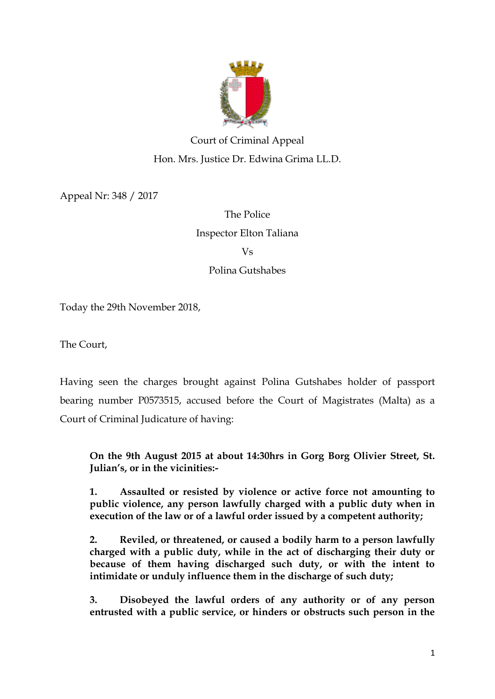

# Court of Criminal Appeal Hon. Mrs. Justice Dr. Edwina Grima LL.D.

Appeal Nr: 348 / 2017

The Police Inspector Elton Taliana Vs Polina Gutshabes

Today the 29th November 2018,

The Court,

Having seen the charges brought against Polina Gutshabes holder of passport bearing number P0573515, accused before the Court of Magistrates (Malta) as a Court of Criminal Judicature of having:

**On the 9th August 2015 at about 14:30hrs in Gorg Borg Olivier Street, St. Julian's, or in the vicinities:-**

**1. Assaulted or resisted by violence or active force not amounting to public violence, any person lawfully charged with a public duty when in execution of the law or of a lawful order issued by a competent authority;**

**2. Reviled, or threatened, or caused a bodily harm to a person lawfully charged with a public duty, while in the act of discharging their duty or because of them having discharged such duty, or with the intent to intimidate or unduly influence them in the discharge of such duty;**

**3. Disobeyed the lawful orders of any authority or of any person entrusted with a public service, or hinders or obstructs such person in the**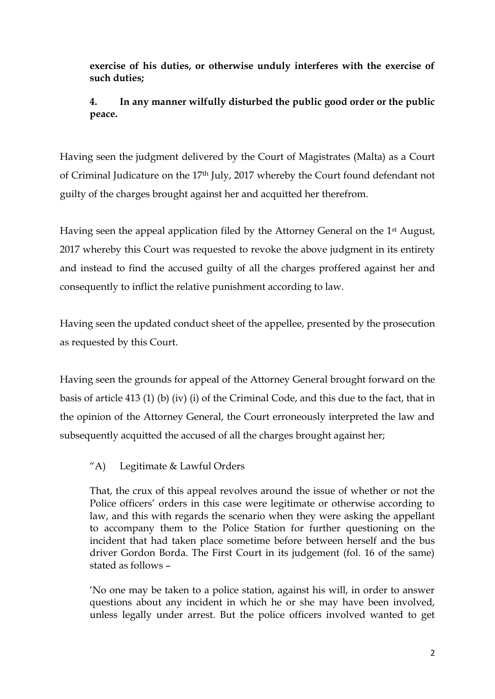**exercise of his duties, or otherwise unduly interferes with the exercise of such duties;**

**4. In any manner wilfully disturbed the public good order or the public peace.**

Having seen the judgment delivered by the Court of Magistrates (Malta) as a Court of Criminal Judicature on the 17th July, 2017 whereby the Court found defendant not guilty of the charges brought against her and acquitted her therefrom.

Having seen the appeal application filed by the Attorney General on the 1st August, 2017 whereby this Court was requested to revoke the above judgment in its entirety and instead to find the accused guilty of all the charges proffered against her and consequently to inflict the relative punishment according to law.

Having seen the updated conduct sheet of the appellee, presented by the prosecution as requested by this Court.

Having seen the grounds for appeal of the Attorney General brought forward on the basis of article 413 (1) (b) (iv) (i) of the Criminal Code, and this due to the fact, that in the opinion of the Attorney General, the Court erroneously interpreted the law and subsequently acquitted the accused of all the charges brought against her;

# "A) Legitimate & Lawful Orders

That, the crux of this appeal revolves around the issue of whether or not the Police officers' orders in this case were legitimate or otherwise according to law, and this with regards the scenario when they were asking the appellant to accompany them to the Police Station for further questioning on the incident that had taken place sometime before between herself and the bus driver Gordon Borda. The First Court in its judgement (fol. 16 of the same) stated as follows –

'No one may be taken to a police station, against his will, in order to answer questions about any incident in which he or she may have been involved, unless legally under arrest. But the police officers involved wanted to get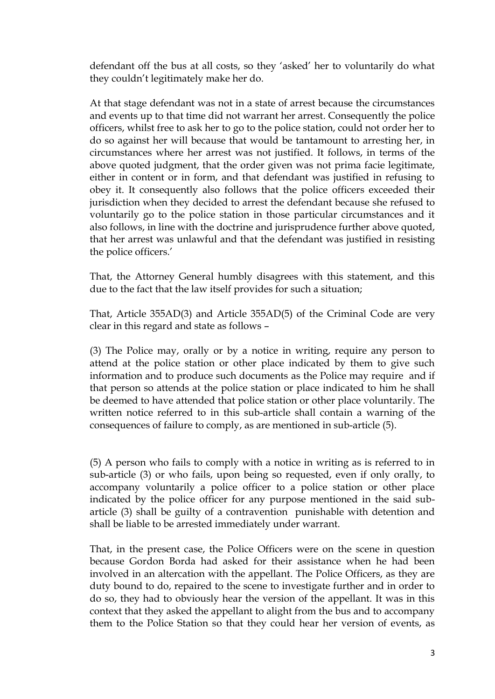defendant off the bus at all costs, so they 'asked' her to voluntarily do what they couldn't legitimately make her do.

At that stage defendant was not in a state of arrest because the circumstances and events up to that time did not warrant her arrest. Consequently the police officers, whilst free to ask her to go to the police station, could not order her to do so against her will because that would be tantamount to arresting her, in circumstances where her arrest was not justified. It follows, in terms of the above quoted judgment, that the order given was not prima facie legitimate, either in content or in form, and that defendant was justified in refusing to obey it. It consequently also follows that the police officers exceeded their jurisdiction when they decided to arrest the defendant because she refused to voluntarily go to the police station in those particular circumstances and it also follows, in line with the doctrine and jurisprudence further above quoted, that her arrest was unlawful and that the defendant was justified in resisting the police officers.'

That, the Attorney General humbly disagrees with this statement, and this due to the fact that the law itself provides for such a situation;

That, Article 355AD(3) and Article 355AD(5) of the Criminal Code are very clear in this regard and state as follows –

(3) The Police may, orally or by a notice in writing, require any person to attend at the police station or other place indicated by them to give such information and to produce such documents as the Police may require and if that person so attends at the police station or place indicated to him he shall be deemed to have attended that police station or other place voluntarily. The written notice referred to in this sub-article shall contain a warning of the consequences of failure to comply, as are mentioned in sub-article (5).

(5) A person who fails to comply with a notice in writing as is referred to in sub-article (3) or who fails, upon being so requested, even if only orally, to accompany voluntarily a police officer to a police station or other place indicated by the police officer for any purpose mentioned in the said subarticle (3) shall be guilty of a contravention punishable with detention and shall be liable to be arrested immediately under warrant.

That, in the present case, the Police Officers were on the scene in question because Gordon Borda had asked for their assistance when he had been involved in an altercation with the appellant. The Police Officers, as they are duty bound to do, repaired to the scene to investigate further and in order to do so, they had to obviously hear the version of the appellant. It was in this context that they asked the appellant to alight from the bus and to accompany them to the Police Station so that they could hear her version of events, as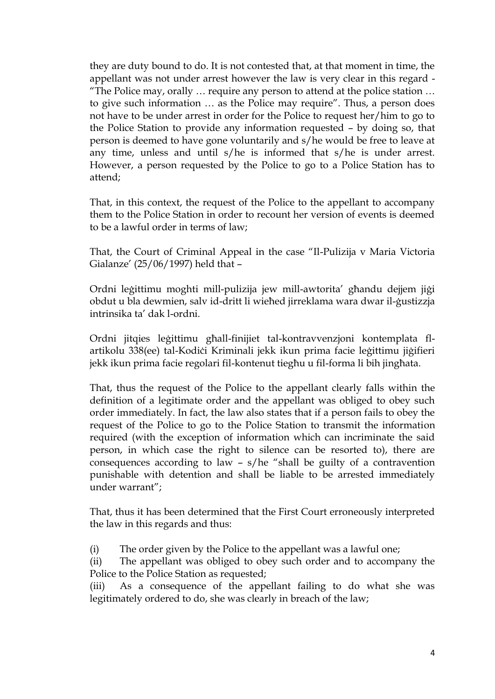they are duty bound to do. It is not contested that, at that moment in time, the appellant was not under arrest however the law is very clear in this regard - "The Police may, orally … require any person to attend at the police station … to give such information … as the Police may require". Thus, a person does not have to be under arrest in order for the Police to request her/him to go to the Police Station to provide any information requested – by doing so, that person is deemed to have gone voluntarily and s/he would be free to leave at any time, unless and until s/he is informed that s/he is under arrest. However, a person requested by the Police to go to a Police Station has to attend;

That, in this context, the request of the Police to the appellant to accompany them to the Police Station in order to recount her version of events is deemed to be a lawful order in terms of law;

That, the Court of Criminal Appeal in the case "Il-Pulizija v Maria Victoria Gialanze' (25/06/1997) held that –

Ordni leġittimu moghti mill-pulizija jew mill-awtorita' għandu dejjem jiġi obdut u bla dewmien, salv id-dritt li wieħed jirreklama wara dwar il-ġustizzja intrinsika ta' dak l-ordni.

Ordni jitqies leġittimu għall-finijiet tal-kontravvenzjoni kontemplata flartikolu 338(ee) tal-Kodiċi Kriminali jekk ikun prima facie leġittimu jiġifieri jekk ikun prima facie regolari fil-kontenut tiegħu u fil-forma li bih jingħata.

That, thus the request of the Police to the appellant clearly falls within the definition of a legitimate order and the appellant was obliged to obey such order immediately. In fact, the law also states that if a person fails to obey the request of the Police to go to the Police Station to transmit the information required (with the exception of information which can incriminate the said person, in which case the right to silence can be resorted to), there are consequences according to law – s/he "shall be guilty of a contravention punishable with detention and shall be liable to be arrested immediately under warrant";

That, thus it has been determined that the First Court erroneously interpreted the law in this regards and thus:

(i) The order given by the Police to the appellant was a lawful one;

(ii) The appellant was obliged to obey such order and to accompany the Police to the Police Station as requested;

(iii) As a consequence of the appellant failing to do what she was legitimately ordered to do, she was clearly in breach of the law;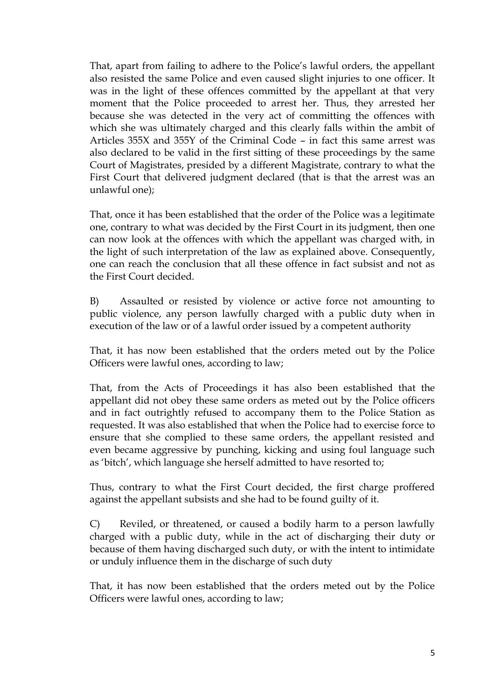That, apart from failing to adhere to the Police's lawful orders, the appellant also resisted the same Police and even caused slight injuries to one officer. It was in the light of these offences committed by the appellant at that very moment that the Police proceeded to arrest her. Thus, they arrested her because she was detected in the very act of committing the offences with which she was ultimately charged and this clearly falls within the ambit of Articles 355X and 355Y of the Criminal Code – in fact this same arrest was also declared to be valid in the first sitting of these proceedings by the same Court of Magistrates, presided by a different Magistrate, contrary to what the First Court that delivered judgment declared (that is that the arrest was an unlawful one);

That, once it has been established that the order of the Police was a legitimate one, contrary to what was decided by the First Court in its judgment, then one can now look at the offences with which the appellant was charged with, in the light of such interpretation of the law as explained above. Consequently, one can reach the conclusion that all these offence in fact subsist and not as the First Court decided.

B) Assaulted or resisted by violence or active force not amounting to public violence, any person lawfully charged with a public duty when in execution of the law or of a lawful order issued by a competent authority

That, it has now been established that the orders meted out by the Police Officers were lawful ones, according to law;

That, from the Acts of Proceedings it has also been established that the appellant did not obey these same orders as meted out by the Police officers and in fact outrightly refused to accompany them to the Police Station as requested. It was also established that when the Police had to exercise force to ensure that she complied to these same orders, the appellant resisted and even became aggressive by punching, kicking and using foul language such as 'bitch', which language she herself admitted to have resorted to;

Thus, contrary to what the First Court decided, the first charge proffered against the appellant subsists and she had to be found guilty of it.

C) Reviled, or threatened, or caused a bodily harm to a person lawfully charged with a public duty, while in the act of discharging their duty or because of them having discharged such duty, or with the intent to intimidate or unduly influence them in the discharge of such duty

That, it has now been established that the orders meted out by the Police Officers were lawful ones, according to law;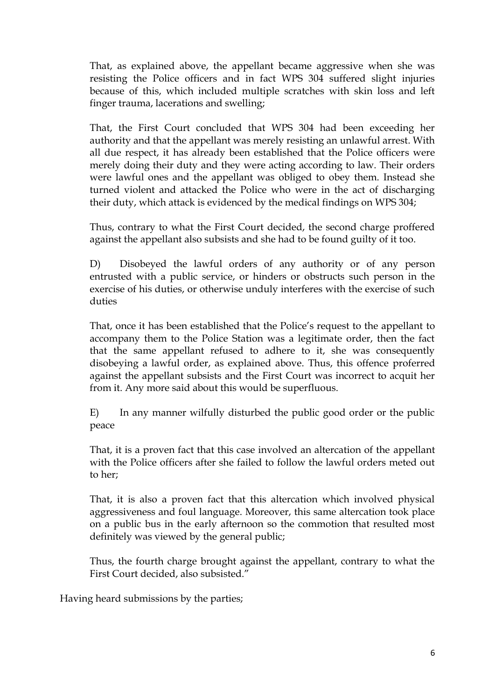That, as explained above, the appellant became aggressive when she was resisting the Police officers and in fact WPS 304 suffered slight injuries because of this, which included multiple scratches with skin loss and left finger trauma, lacerations and swelling;

That, the First Court concluded that WPS 304 had been exceeding her authority and that the appellant was merely resisting an unlawful arrest. With all due respect, it has already been established that the Police officers were merely doing their duty and they were acting according to law. Their orders were lawful ones and the appellant was obliged to obey them. Instead she turned violent and attacked the Police who were in the act of discharging their duty, which attack is evidenced by the medical findings on WPS 304;

Thus, contrary to what the First Court decided, the second charge proffered against the appellant also subsists and she had to be found guilty of it too.

D) Disobeyed the lawful orders of any authority or of any person entrusted with a public service, or hinders or obstructs such person in the exercise of his duties, or otherwise unduly interferes with the exercise of such duties

That, once it has been established that the Police's request to the appellant to accompany them to the Police Station was a legitimate order, then the fact that the same appellant refused to adhere to it, she was consequently disobeying a lawful order, as explained above. Thus, this offence proferred against the appellant subsists and the First Court was incorrect to acquit her from it. Any more said about this would be superfluous.

E) In any manner wilfully disturbed the public good order or the public peace

That, it is a proven fact that this case involved an altercation of the appellant with the Police officers after she failed to follow the lawful orders meted out to her;

That, it is also a proven fact that this altercation which involved physical aggressiveness and foul language. Moreover, this same altercation took place on a public bus in the early afternoon so the commotion that resulted most definitely was viewed by the general public;

Thus, the fourth charge brought against the appellant, contrary to what the First Court decided, also subsisted."

Having heard submissions by the parties;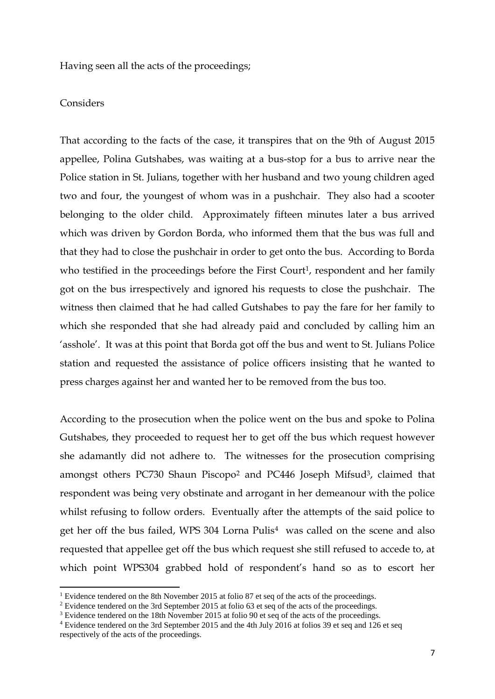Having seen all the acts of the proceedings;

#### Considers

1

That according to the facts of the case, it transpires that on the 9th of August 2015 appellee, Polina Gutshabes, was waiting at a bus-stop for a bus to arrive near the Police station in St. Julians, together with her husband and two young children aged two and four, the youngest of whom was in a pushchair. They also had a scooter belonging to the older child. Approximately fifteen minutes later a bus arrived which was driven by Gordon Borda, who informed them that the bus was full and that they had to close the pushchair in order to get onto the bus. According to Borda who testified in the proceedings before the First Court<sup>1</sup>, respondent and her family got on the bus irrespectively and ignored his requests to close the pushchair. The witness then claimed that he had called Gutshabes to pay the fare for her family to which she responded that she had already paid and concluded by calling him an 'asshole'. It was at this point that Borda got off the bus and went to St. Julians Police station and requested the assistance of police officers insisting that he wanted to press charges against her and wanted her to be removed from the bus too.

According to the prosecution when the police went on the bus and spoke to Polina Gutshabes, they proceeded to request her to get off the bus which request however she adamantly did not adhere to. The witnesses for the prosecution comprising amongst others PC730 Shaun Piscopo<sup>2</sup> and PC446 Joseph Mifsud3, claimed that respondent was being very obstinate and arrogant in her demeanour with the police whilst refusing to follow orders. Eventually after the attempts of the said police to get her off the bus failed, WPS 304 Lorna Pulis<sup>4</sup> was called on the scene and also requested that appellee get off the bus which request she still refused to accede to, at which point WPS304 grabbed hold of respondent's hand so as to escort her

<sup>&</sup>lt;sup>1</sup> Evidence tendered on the 8th November 2015 at folio 87 et seq of the acts of the proceedings.

<sup>&</sup>lt;sup>2</sup> Evidence tendered on the 3rd September 2015 at folio 63 et seq of the acts of the proceedings.

<sup>&</sup>lt;sup>3</sup> Evidence tendered on the 18th November 2015 at folio 90 et seq of the acts of the proceedings.

<sup>4</sup> Evidence tendered on the 3rd September 2015 and the 4th July 2016 at folios 39 et seq and 126 et seq respectively of the acts of the proceedings.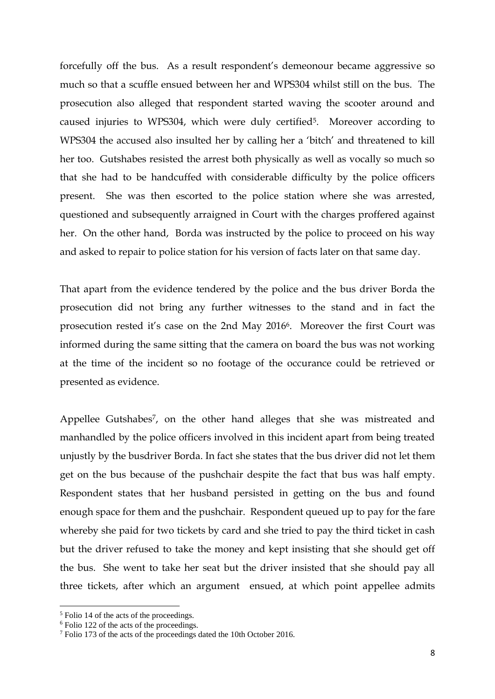forcefully off the bus. As a result respondent's demeonour became aggressive so much so that a scuffle ensued between her and WPS304 whilst still on the bus. The prosecution also alleged that respondent started waving the scooter around and caused injuries to WPS304, which were duly certified5. Moreover according to WPS304 the accused also insulted her by calling her a 'bitch' and threatened to kill her too. Gutshabes resisted the arrest both physically as well as vocally so much so that she had to be handcuffed with considerable difficulty by the police officers present. She was then escorted to the police station where she was arrested, questioned and subsequently arraigned in Court with the charges proffered against her. On the other hand, Borda was instructed by the police to proceed on his way and asked to repair to police station for his version of facts later on that same day.

That apart from the evidence tendered by the police and the bus driver Borda the prosecution did not bring any further witnesses to the stand and in fact the prosecution rested it's case on the 2nd May 20166. Moreover the first Court was informed during the same sitting that the camera on board the bus was not working at the time of the incident so no footage of the occurance could be retrieved or presented as evidence.

Appellee Gutshabes<sup>7</sup>, on the other hand alleges that she was mistreated and manhandled by the police officers involved in this incident apart from being treated unjustly by the busdriver Borda. In fact she states that the bus driver did not let them get on the bus because of the pushchair despite the fact that bus was half empty. Respondent states that her husband persisted in getting on the bus and found enough space for them and the pushchair. Respondent queued up to pay for the fare whereby she paid for two tickets by card and she tried to pay the third ticket in cash but the driver refused to take the money and kept insisting that she should get off the bus. She went to take her seat but the driver insisted that she should pay all three tickets, after which an argument ensued, at which point appellee admits

 $\overline{a}$ 

<sup>5</sup> Folio 14 of the acts of the proceedings.

<sup>6</sup> Folio 122 of the acts of the proceedings.

<sup>7</sup> Folio 173 of the acts of the proceedings dated the 10th October 2016.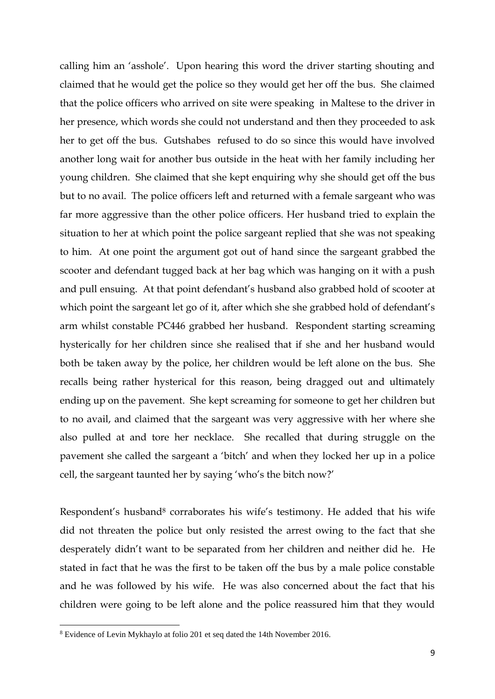calling him an 'asshole'. Upon hearing this word the driver starting shouting and claimed that he would get the police so they would get her off the bus. She claimed that the police officers who arrived on site were speaking in Maltese to the driver in her presence, which words she could not understand and then they proceeded to ask her to get off the bus. Gutshabes refused to do so since this would have involved another long wait for another bus outside in the heat with her family including her young children. She claimed that she kept enquiring why she should get off the bus but to no avail. The police officers left and returned with a female sargeant who was far more aggressive than the other police officers. Her husband tried to explain the situation to her at which point the police sargeant replied that she was not speaking to him. At one point the argument got out of hand since the sargeant grabbed the scooter and defendant tugged back at her bag which was hanging on it with a push and pull ensuing. At that point defendant's husband also grabbed hold of scooter at which point the sargeant let go of it, after which she she grabbed hold of defendant's arm whilst constable PC446 grabbed her husband. Respondent starting screaming hysterically for her children since she realised that if she and her husband would both be taken away by the police, her children would be left alone on the bus. She recalls being rather hysterical for this reason, being dragged out and ultimately ending up on the pavement. She kept screaming for someone to get her children but to no avail, and claimed that the sargeant was very aggressive with her where she also pulled at and tore her necklace. She recalled that during struggle on the pavement she called the sargeant a 'bitch' and when they locked her up in a police cell, the sargeant taunted her by saying 'who's the bitch now?'

Respondent's husband<sup>8</sup> corraborates his wife's testimony. He added that his wife did not threaten the police but only resisted the arrest owing to the fact that she desperately didn't want to be separated from her children and neither did he. He stated in fact that he was the first to be taken off the bus by a male police constable and he was followed by his wife. He was also concerned about the fact that his children were going to be left alone and the police reassured him that they would

**.** 

<sup>8</sup> Evidence of Levin Mykhaylo at folio 201 et seq dated the 14th November 2016.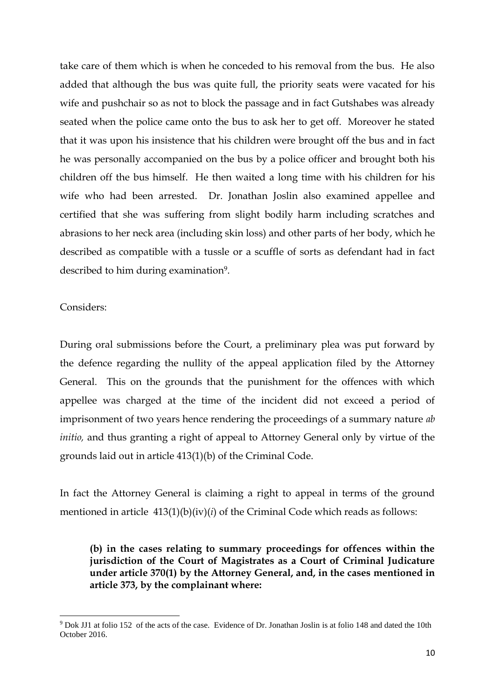take care of them which is when he conceded to his removal from the bus. He also added that although the bus was quite full, the priority seats were vacated for his wife and pushchair so as not to block the passage and in fact Gutshabes was already seated when the police came onto the bus to ask her to get off. Moreover he stated that it was upon his insistence that his children were brought off the bus and in fact he was personally accompanied on the bus by a police officer and brought both his children off the bus himself. He then waited a long time with his children for his wife who had been arrested. Dr. Jonathan Joslin also examined appellee and certified that she was suffering from slight bodily harm including scratches and abrasions to her neck area (including skin loss) and other parts of her body, which he described as compatible with a tussle or a scuffle of sorts as defendant had in fact described to him during examination9.

Considers:

1

During oral submissions before the Court, a preliminary plea was put forward by the defence regarding the nullity of the appeal application filed by the Attorney General. This on the grounds that the punishment for the offences with which appellee was charged at the time of the incident did not exceed a period of imprisonment of two years hence rendering the proceedings of a summary nature *ab initio,* and thus granting a right of appeal to Attorney General only by virtue of the grounds laid out in article 413(1)(b) of the Criminal Code.

In fact the Attorney General is claiming a right to appeal in terms of the ground mentioned in article  $413(1)(b)(iv)(i)$  of the Criminal Code which reads as follows:

**(b) in the cases relating to summary proceedings for offences within the jurisdiction of the Court of Magistrates as a Court of Criminal Judicature under article 370(1) by the Attorney General, and, in the cases mentioned in article 373, by the complainant where:**

<sup>9</sup> Dok JJ1 at folio 152 of the acts of the case. Evidence of Dr. Jonathan Joslin is at folio 148 and dated the 10th October 2016.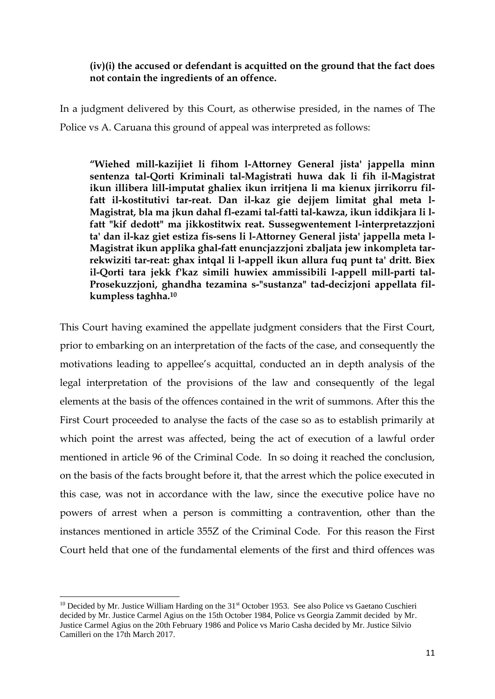### **(iv)(i) the accused or defendant is acquitted on the ground that the fact does not contain the ingredients of an offence.**

In a judgment delivered by this Court, as otherwise presided, in the names of The Police vs A. Caruana this ground of appeal was interpreted as follows:

**"Wiehed mill-kazijiet li fihom l-Attorney General jista' jappella minn sentenza tal-Qorti Kriminali tal-Magistrati huwa dak li fih il-Magistrat ikun illibera lill-imputat ghaliex ikun irritjena li ma kienux jirrikorru filfatt il-kostitutivi tar-reat. Dan il-kaz gie dejjem limitat ghal meta l-Magistrat, bla ma jkun dahal fl-ezami tal-fatti tal-kawza, ikun iddikjara li lfatt "kif dedott" ma jikkostitwix reat. Sussegwentement l-interpretazzjoni ta' dan il-kaz giet estiza fis-sens li l-Attorney General jista' jappella meta l-Magistrat ikun applika ghal-fatt enuncjazzjoni zbaljata jew inkompleta tarrekwiziti tar-reat: ghax intqal li l-appell ikun allura fuq punt ta' dritt. Biex il-Qorti tara jekk f'kaz simili huwiex ammissibili l-appell mill-parti tal-Prosekuzzjoni, ghandha tezamina s-"sustanza" tad-decizjoni appellata filkumpless taghha.<sup>10</sup>**

This Court having examined the appellate judgment considers that the First Court, prior to embarking on an interpretation of the facts of the case, and consequently the motivations leading to appellee's acquittal, conducted an in depth analysis of the legal interpretation of the provisions of the law and consequently of the legal elements at the basis of the offences contained in the writ of summons. After this the First Court proceeded to analyse the facts of the case so as to establish primarily at which point the arrest was affected, being the act of execution of a lawful order mentioned in article 96 of the Criminal Code. In so doing it reached the conclusion, on the basis of the facts brought before it, that the arrest which the police executed in this case, was not in accordance with the law, since the executive police have no powers of arrest when a person is committing a contravention, other than the instances mentioned in article 355Z of the Criminal Code. For this reason the First Court held that one of the fundamental elements of the first and third offences was

**.** 

 $10$  Decided by Mr. Justice William Harding on the 31<sup>st</sup> October 1953. See also Police vs Gaetano Cuschieri decided by Mr. Justice Carmel Agius on the 15th October 1984, Police vs Georgia Zammit decided by Mr. Justice Carmel Agius on the 20th February 1986 and Police vs Mario Casha decided by Mr. Justice Silvio Camilleri on the 17th March 2017.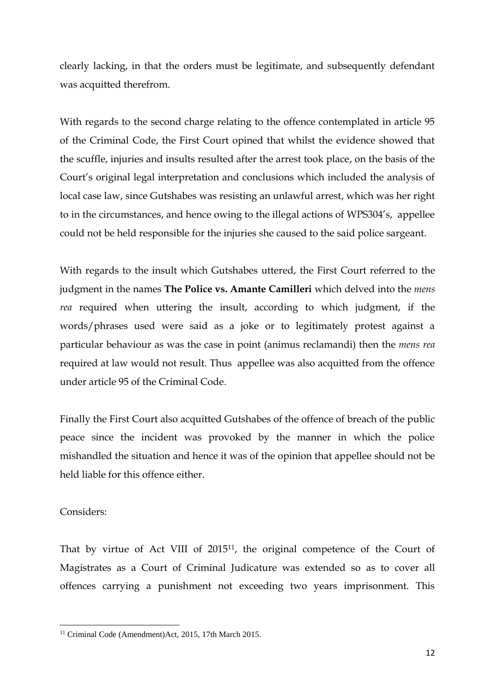clearly lacking, in that the orders must be legitimate, and subsequently defendant was acquitted therefrom.

With regards to the second charge relating to the offence contemplated in article 95 of the Criminal Code, the First Court opined that whilst the evidence showed that the scuffle, injuries and insults resulted after the arrest took place, on the basis of the Court's original legal interpretation and conclusions which included the analysis of local case law, since Gutshabes was resisting an unlawful arrest, which was her right to in the circumstances, and hence owing to the illegal actions of WPS304's, appellee could not be held responsible for the injuries she caused to the said police sargeant.

With regards to the insult which Gutshabes uttered, the First Court referred to the judgment in the names **The Police vs. Amante Camilleri** which delved into the *mens rea* required when uttering the insult, according to which judgment, if the words/phrases used were said as a joke or to legitimately protest against a particular behaviour as was the case in point (animus reclamandi) then the *mens rea* required at law would not result. Thus appellee was also acquitted from the offence under article 95 of the Criminal Code.

Finally the First Court also acquitted Gutshabes of the offence of breach of the public peace since the incident was provoked by the manner in which the police mishandled the situation and hence it was of the opinion that appellee should not be held liable for this offence either.

### Considers:

**.** 

That by virtue of Act VIII of 201511, the original competence of the Court of Magistrates as a Court of Criminal Judicature was extended so as to cover all offences carrying a punishment not exceeding two years imprisonment. This

<sup>&</sup>lt;sup>11</sup> Criminal Code (Amendment)Act, 2015, 17th March 2015.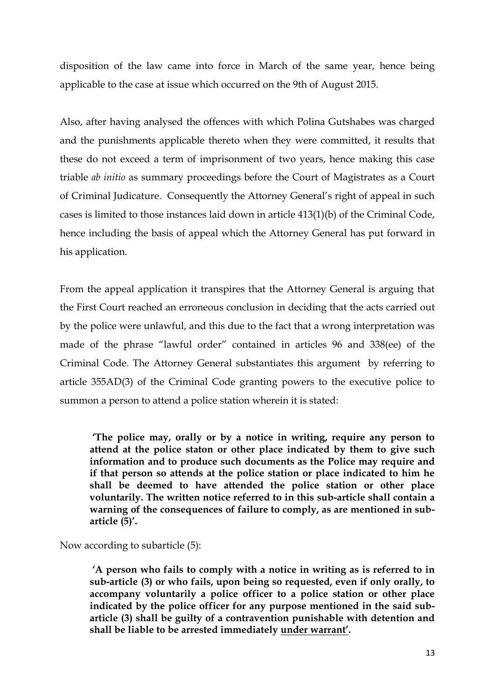disposition of the law came into force in March of the same year, hence being applicable to the case at issue which occurred on the 9th of August 2015.

Also, after having analysed the offences with which Polina Gutshabes was charged and the punishments applicable thereto when they were committed, it results that these do not exceed a term of imprisonment of two years, hence making this case triable *ab initio* as summary proceedings before the Court of Magistrates as a Court of Criminal Judicature. Consequently the Attorney General's right of appeal in such cases is limited to those instances laid down in article 413(1)(b) of the Criminal Code, hence including the basis of appeal which the Attorney General has put forward in his application.

From the appeal application it transpires that the Attorney General is arguing that the First Court reached an erroneous conclusion in deciding that the acts carried out by the police were unlawful, and this due to the fact that a wrong interpretation was made of the phrase "lawful order" contained in articles 96 and 338(ee) of the Criminal Code. The Attorney General substantiates this argument by referring to article 355AD(3) of the Criminal Code granting powers to the executive police to summon a person to attend a police station wherein it is stated:

**'The police may, orally or by a notice in writing, require any person to attend at the police staton or other place indicated by them to give such information and to produce such documents as the Police may require and if that person so attends at the police station or place indicated to him he shall be deemed to have attended the police station or other place voluntarily. The written notice referred to in this sub-article shall contain a warning of the consequences of failure to comply, as are mentioned in subarticle (5)'.** 

Now according to subarticle (5):

**'A person who fails to comply with a notice in writing as is referred to in sub-article (3) or who fails, upon being so requested, even if only orally, to accompany voluntarily a police officer to a police station or other place indicated by the police officer for any purpose mentioned in the said subarticle (3) shall be guilty of a contravention punishable with detention and shall be liable to be arrested immediately under warrant'.**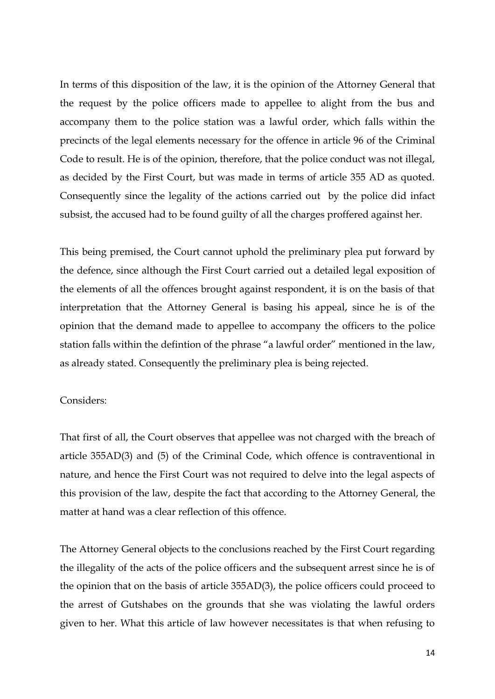In terms of this disposition of the law, it is the opinion of the Attorney General that the request by the police officers made to appellee to alight from the bus and accompany them to the police station was a lawful order, which falls within the precincts of the legal elements necessary for the offence in article 96 of the Criminal Code to result. He is of the opinion, therefore, that the police conduct was not illegal, as decided by the First Court, but was made in terms of article 355 AD as quoted. Consequently since the legality of the actions carried out by the police did infact subsist, the accused had to be found guilty of all the charges proffered against her.

This being premised, the Court cannot uphold the preliminary plea put forward by the defence, since although the First Court carried out a detailed legal exposition of the elements of all the offences brought against respondent, it is on the basis of that interpretation that the Attorney General is basing his appeal, since he is of the opinion that the demand made to appellee to accompany the officers to the police station falls within the defintion of the phrase "a lawful order" mentioned in the law, as already stated. Consequently the preliminary plea is being rejected.

#### Considers:

That first of all, the Court observes that appellee was not charged with the breach of article 355AD(3) and (5) of the Criminal Code, which offence is contraventional in nature, and hence the First Court was not required to delve into the legal aspects of this provision of the law, despite the fact that according to the Attorney General, the matter at hand was a clear reflection of this offence.

The Attorney General objects to the conclusions reached by the First Court regarding the illegality of the acts of the police officers and the subsequent arrest since he is of the opinion that on the basis of article 355AD(3), the police officers could proceed to the arrest of Gutshabes on the grounds that she was violating the lawful orders given to her. What this article of law however necessitates is that when refusing to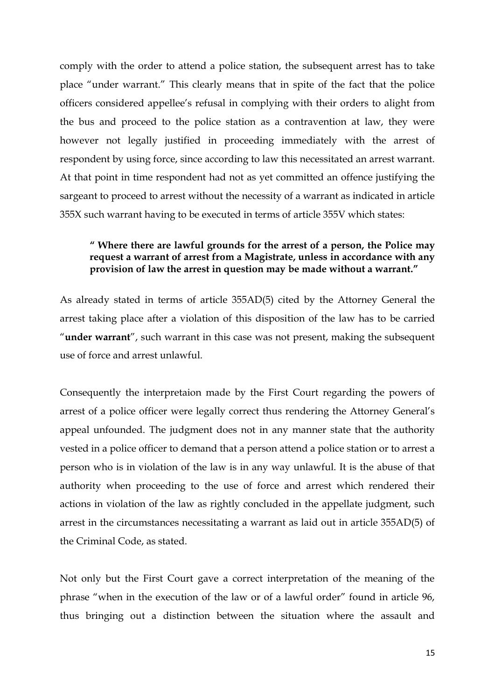comply with the order to attend a police station, the subsequent arrest has to take place "under warrant." This clearly means that in spite of the fact that the police officers considered appellee's refusal in complying with their orders to alight from the bus and proceed to the police station as a contravention at law, they were however not legally justified in proceeding immediately with the arrest of respondent by using force, since according to law this necessitated an arrest warrant. At that point in time respondent had not as yet committed an offence justifying the sargeant to proceed to arrest without the necessity of a warrant as indicated in article 355X such warrant having to be executed in terms of article 355V which states:

## **" Where there are lawful grounds for the arrest of a person, the Police may request a warrant of arrest from a Magistrate, unless in accordance with any provision of law the arrest in question may be made without a warrant."**

As already stated in terms of article 355AD(5) cited by the Attorney General the arrest taking place after a violation of this disposition of the law has to be carried "**under warrant**", such warrant in this case was not present, making the subsequent use of force and arrest unlawful.

Consequently the interpretaion made by the First Court regarding the powers of arrest of a police officer were legally correct thus rendering the Attorney General's appeal unfounded. The judgment does not in any manner state that the authority vested in a police officer to demand that a person attend a police station or to arrest a person who is in violation of the law is in any way unlawful. It is the abuse of that authority when proceeding to the use of force and arrest which rendered their actions in violation of the law as rightly concluded in the appellate judgment, such arrest in the circumstances necessitating a warrant as laid out in article 355AD(5) of the Criminal Code, as stated.

Not only but the First Court gave a correct interpretation of the meaning of the phrase "when in the execution of the law or of a lawful order" found in article 96, thus bringing out a distinction between the situation where the assault and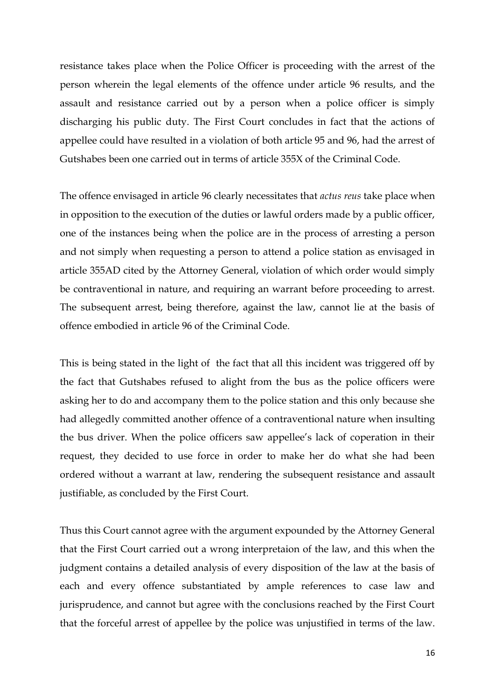resistance takes place when the Police Officer is proceeding with the arrest of the person wherein the legal elements of the offence under article 96 results, and the assault and resistance carried out by a person when a police officer is simply discharging his public duty. The First Court concludes in fact that the actions of appellee could have resulted in a violation of both article 95 and 96, had the arrest of Gutshabes been one carried out in terms of article 355X of the Criminal Code.

The offence envisaged in article 96 clearly necessitates that *actus reus* take place when in opposition to the execution of the duties or lawful orders made by a public officer, one of the instances being when the police are in the process of arresting a person and not simply when requesting a person to attend a police station as envisaged in article 355AD cited by the Attorney General, violation of which order would simply be contraventional in nature, and requiring an warrant before proceeding to arrest. The subsequent arrest, being therefore, against the law, cannot lie at the basis of offence embodied in article 96 of the Criminal Code.

This is being stated in the light of the fact that all this incident was triggered off by the fact that Gutshabes refused to alight from the bus as the police officers were asking her to do and accompany them to the police station and this only because she had allegedly committed another offence of a contraventional nature when insulting the bus driver. When the police officers saw appellee's lack of coperation in their request, they decided to use force in order to make her do what she had been ordered without a warrant at law, rendering the subsequent resistance and assault justifiable, as concluded by the First Court.

Thus this Court cannot agree with the argument expounded by the Attorney General that the First Court carried out a wrong interpretaion of the law, and this when the judgment contains a detailed analysis of every disposition of the law at the basis of each and every offence substantiated by ample references to case law and jurisprudence, and cannot but agree with the conclusions reached by the First Court that the forceful arrest of appellee by the police was unjustified in terms of the law.